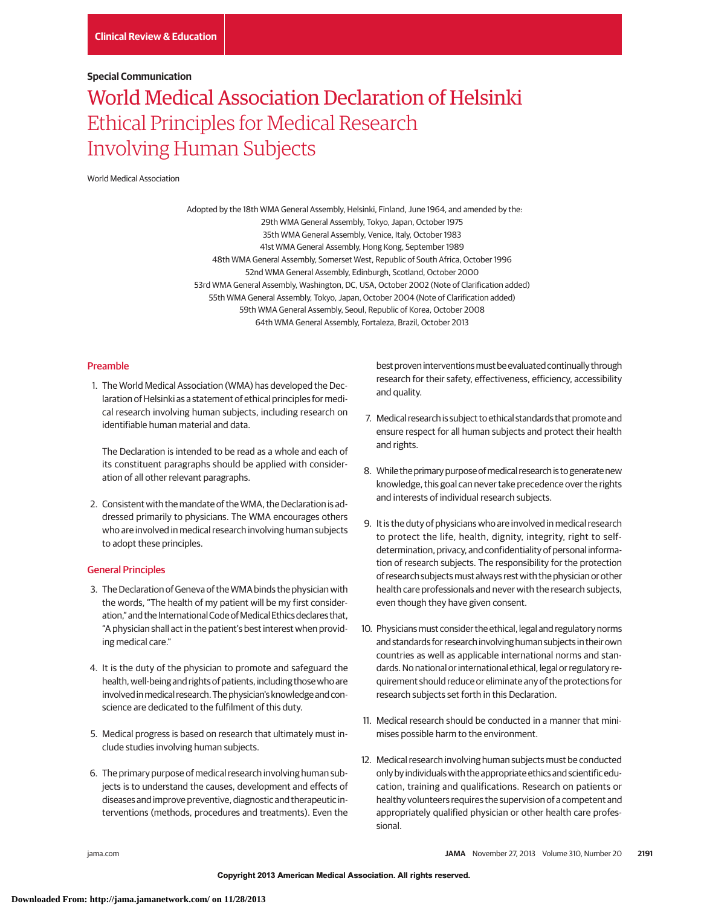## **Special Communication**

# World Medical Association Declaration of Helsinki Ethical Principles for Medical Research Involving Human Subjects

World Medical Association

Adopted by the 18th WMA General Assembly, Helsinki, Finland, June 1964, and amended by the: 29th WMA General Assembly, Tokyo, Japan, October 1975 35th WMA General Assembly, Venice, Italy, October 1983 41st WMA General Assembly, Hong Kong, September 1989 48th WMA General Assembly, Somerset West, Republic of South Africa, October 1996 52nd WMA General Assembly, Edinburgh, Scotland, October 2000 53rd WMA General Assembly, Washington, DC, USA, October 2002 (Note of Clarification added) 55th WMA General Assembly, Tokyo, Japan, October 2004 (Note of Clarification added) 59th WMA General Assembly, Seoul, Republic of Korea, October 2008 64th WMA General Assembly, Fortaleza, Brazil, October 2013

## Preamble

1. The World Medical Association (WMA) has developed the Declaration of Helsinki as a statement of ethical principles for medical research involving human subjects, including research on identifiable human material and data.

The Declaration is intended to be read as a whole and each of its constituent paragraphs should be applied with consideration of all other relevant paragraphs.

2. Consistent with the mandate of theWMA, the Declaration is addressed primarily to physicians. The WMA encourages others who are involved in medical research involving human subjects to adopt these principles.

#### General Principles

- 3. The Declaration of Geneva of theWMA binds the physician with the words, "The health of my patient will be my first consideration," and the International Code of Medical Ethics declares that, "A physician shall act in the patient's best interest when providing medical care."
- 4. It is the duty of the physician to promote and safeguard the health, well-being and rights of patients, including those who are involved in medical research. The physician's knowledge and conscience are dedicated to the fulfilment of this duty.
- 5. Medical progress is based on research that ultimately must include studies involving human subjects.
- 6. The primary purpose of medical research involving human subjects is to understand the causes, development and effects of diseases and improve preventive, diagnostic and therapeutic interventions (methods, procedures and treatments). Even the

best proven interventions must be evaluated continually through research for their safety, effectiveness, efficiency, accessibility and quality.

- 7. Medical research is subject toethical standards that promote and ensure respect for all human subjects and protect their health and rights.
- 8. While the primary purpose of medical research is to generate new knowledge, this goal can never take precedence over the rights and interests of individual research subjects.
- 9. It is the duty of physicians who are involved in medical research to protect the life, health, dignity, integrity, right to selfdetermination, privacy, and confidentiality of personal information of research subjects. The responsibility for the protection of research subjectsmust always rest with the physician or other health care professionals and never with the research subjects, even though they have given consent.
- 10. Physicians must consider the ethical, legal and regulatory norms and standards for research involving human subjects in their own countries as well as applicable international norms and standards. No national or international ethical, legal or regulatory requirement should reduce or eliminate any of the protections for research subjects set forth in this Declaration.
- 11. Medical research should be conducted in a manner that minimises possible harm to the environment.
- 12. Medical research involving human subjects must be conducted only by individuals with the appropriate ethics and scientific education, training and qualifications. Research on patients or healthy volunteers requires the supervision of a competent and appropriately qualified physician or other health care professional.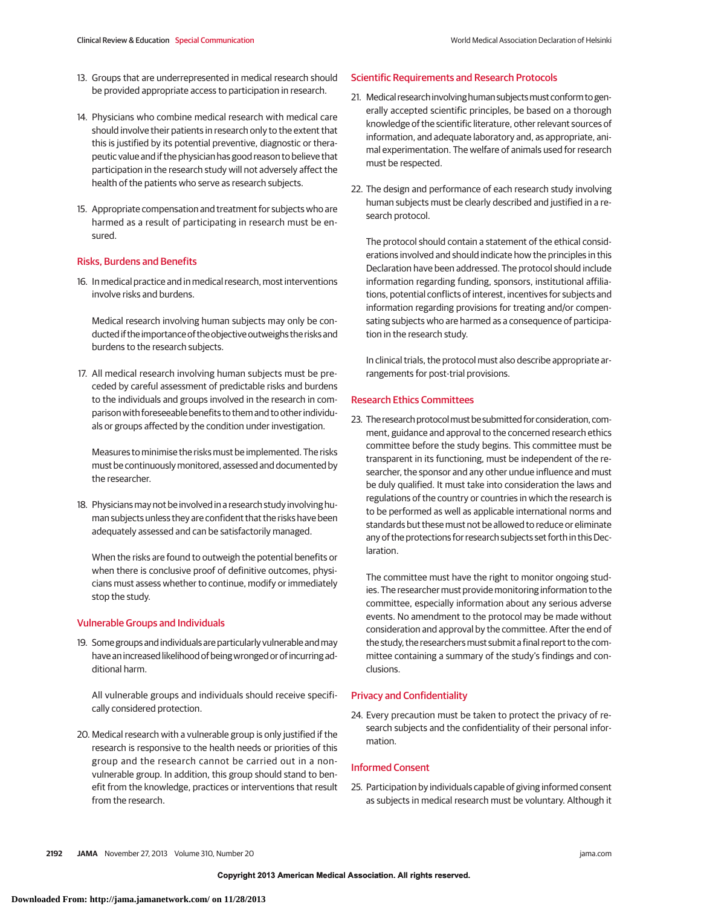- 13. Groups that are underrepresented in medical research should be provided appropriate access to participation in research.
- 14. Physicians who combine medical research with medical care should involve their patients in research only to the extent that this is justified by its potential preventive, diagnostic or therapeutic value and if the physician has good reason to believe that participation in the research study will not adversely affect the health of the patients who serve as research subjects.
- 15. Appropriate compensation and treatment for subjects who are harmed as a result of participating in research must be ensured.

#### Risks, Burdens and Benefits

16. In medical practice and in medical research, most interventions involve risks and burdens.

Medical research involving human subjects may only be conducted if the importance of the objective outweighs the risks and burdens to the research subjects.

17. All medical research involving human subjects must be preceded by careful assessment of predictable risks and burdens to the individuals and groups involved in the research in comparison with foreseeable benefits to them and to other individuals or groups affected by the condition under investigation.

Measures to minimise the risks must be implemented. The risks must be continuously monitored, assessed and documented by the researcher.

18. Physicians may not be involvedin a research study involving human subjects unless they are confident that the risks have been adequately assessed and can be satisfactorily managed.

When the risks are found to outweigh the potential benefits or when there is conclusive proof of definitive outcomes, physicians must assess whether to continue, modify or immediately stop the study.

### Vulnerable Groups and Individuals

19. Some groups and individuals are particularly vulnerable andmay have an increased likelihood of being wronged or of incurring additional harm.

All vulnerable groups and individuals should receive specifically considered protection.

20. Medical research with a vulnerable group is only justified if the research is responsive to the health needs or priorities of this group and the research cannot be carried out in a nonvulnerable group. In addition, this group should stand to benefit from the knowledge, practices or interventions that result from the research.

#### Scientific Requirements and Research Protocols

- 21. Medical research involving human subjectsmust conform to generally accepted scientific principles, be based on a thorough knowledge of the scientific literature, other relevant sources of information, and adequate laboratory and, as appropriate, animal experimentation. The welfare of animals used for research must be respected.
- 22. The design and performance of each research study involving human subjects must be clearly described and justified in a research protocol.

The protocol should contain a statement of the ethical considerations involved and should indicate how the principles in this Declaration have been addressed. The protocol should include information regarding funding, sponsors, institutional affiliations, potential conflicts of interest, incentives for subjects and information regarding provisions for treating and/or compensating subjects who are harmed as a consequence of participation in the research study.

In clinical trials, the protocol must also describe appropriate arrangements for post-trial provisions.

# Research Ethics Committees

23. The research protocolmust be submitted for consideration, comment, guidance and approval to the concerned research ethics committee before the study begins. This committee must be transparent in its functioning, must be independent of the researcher, the sponsor and any other undue influence and must be duly qualified. It must take into consideration the laws and regulations of the country or countries in which the research is to be performed as well as applicable international norms and standards but these must not be allowed to reduce or eliminate any of the protections for research subjects set forth in this Declaration.

The committee must have the right to monitor ongoing studies. The researcher must provide monitoring information to the committee, especially information about any serious adverse events. No amendment to the protocol may be made without consideration and approval by the committee. After the end of the study, the researchers must submit a final report to the committee containing a summary of the study's findings and conclusions.

#### Privacy and Confidentiality

24. Every precaution must be taken to protect the privacy of research subjects and the confidentiality of their personal information.

#### Informed Consent

25. Participation by individuals capable of giving informed consent as subjects in medical research must be voluntary. Although it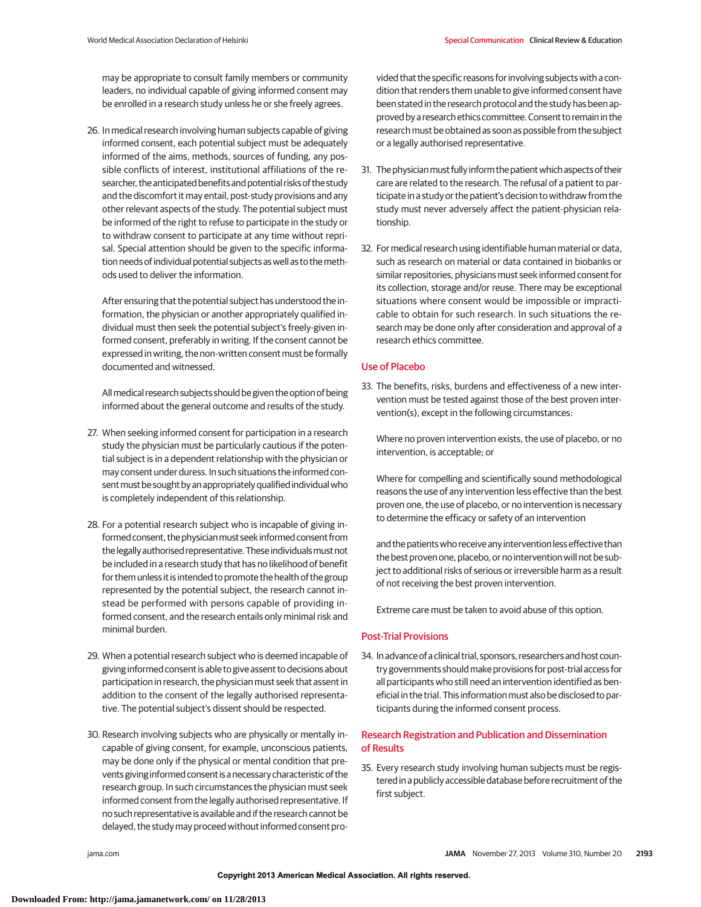may be appropriate to consult family members or community leaders, no individual capable of giving informed consent may be enrolled in a research study unless he or she freely agrees.

26. In medical research involving human subjects capable of giving informed consent, each potential subject must be adequately informed of the aims, methods, sources of funding, any possible conflicts of interest, institutional affiliations of the researcher, the anticipated benefits and potential risks of the study and the discomfort it may entail, post-study provisions and any other relevant aspects of the study. The potential subject must be informed of the right to refuse to participate in the study or to withdraw consent to participate at any time without reprisal. Special attention should be given to the specific information needs of individual potential subjects as well as to themethods used to deliver the information.

After ensuring that the potential subject has understood the information, the physician or another appropriately qualified individual must then seek the potential subject's freely-given informed consent, preferably in writing. If the consent cannot be expressed in writing, the non-written consent must be formally documented and witnessed.

Allmedical research subjects should be given the option of being informed about the general outcome and results of the study.

- 27. When seeking informed consent for participation in a research study the physician must be particularly cautious if the potential subject is in a dependent relationship with the physician or may consent under duress. In such situations the informed consent must be sought by an appropriately qualified individual who is completely independent of this relationship.
- 28. For a potential research subject who is incapable of giving informed consent, the physician must seek informed consent from the legally authorised representative. These individuals must not be included in a research study that has no likelihood of benefit for them unless it is intended to promote the health of the group represented by the potential subject, the research cannot instead be performed with persons capable of providing informed consent, and the research entails only minimal risk and minimal burden.
- 29. When a potential research subject who is deemed incapable of giving informed consent is able to give assent to decisions about participation in research, the physician must seek that assent in addition to the consent of the legally authorised representative. The potential subject's dissent should be respected.
- 30. Research involving subjects who are physically or mentally incapable of giving consent, for example, unconscious patients, may be done only if the physical or mental condition that prevents giving informed consent is a necessary characteristic of the research group. In such circumstances the physician must seek informed consent from the legally authorised representative. If no such representative is available and if the research cannot be delayed, the study may proceed without informed consent pro-

vided that the specific reasons for involving subjects with a condition that renders them unable to give informed consent have been stated in the research protocol and the study has been approved by a research ethics committee. Consent to remain in the research must be obtained as soon as possible from the subject or a legally authorised representative.

- 31. The physician must fully inform the patient which aspects of their care are related to the research. The refusal of a patient to participate in a study or the patient's decision to withdraw from the study must never adversely affect the patient-physician relationship.
- 32. For medical research using identifiable human material or data, such as research on material or data contained in biobanks or similar repositories, physicians must seek informed consent for its collection, storage and/or reuse. There may be exceptional situations where consent would be impossible or impracticable to obtain for such research. In such situations the research may be done only after consideration and approval of a research ethics committee.

## Use of Placebo

33. The benefits, risks, burdens and effectiveness of a new intervention must be tested against those of the best proven intervention(s), except in the following circumstances:

Where no proven intervention exists, the use of placebo, or no intervention, is acceptable; or

Where for compelling and scientifically sound methodological reasons the use of any intervention less effective than the best proven one, the use of placebo, or no intervention is necessary to determine the efficacy or safety of an intervention

and the patients who receive any intervention less effective than the best proven one, placebo, or no intervention will not be subject to additional risks of serious or irreversible harm as a result of not receiving the best proven intervention.

Extreme care must be taken to avoid abuse of this option.

# Post-Trial Provisions

34. In advance of a clinical trial, sponsors, researchers and host country governments shouldmake provisions for post-trial access for all participants who still need an intervention identified as beneficial in the trial. This information must also be disclosed to participants during the informed consent process.

# Research Registration and Publication and Dissemination of Results

35. Every research study involving human subjects must be registered in a publicly accessible database before recruitment of the first subject.